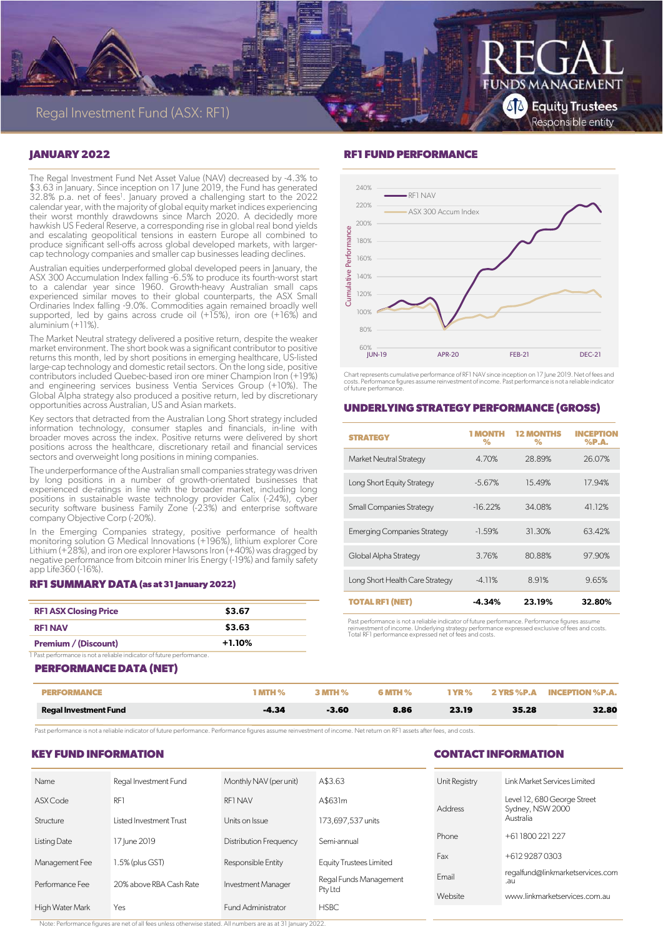

# **JANUARY 2022**

The Regal Investment Fund Net Asset Value (NAV) decreased by -4.3% to \$3.63 in January. Since inception on 17 June 2019, the Fund has generated 32.8% p.a. net of fees<sup>1</sup>. January proved a challenging start to the 2022 calendar year, with the majority of global equity market indices experiencing their worst monthly drawdowns since March 2020. A decidedly more hawkish US Federal Reserve, a corresponding rise in global real bond yields and escalating geopolitical tensions in eastern Europe all combined to produce significant sell-offs across global developed markets, with largercap technology companies and smaller cap businesses leading declines.

Australian equities underperformed global developed peers in January, the ASX 300 Accumulation Index falling -6.5% to produce its fourth-worst start to a calendar year since 1960. Growth-heavy Australian small caps experienced similar moves to their global counterparts, the ASX Small Ordinaries Index falling -9.0%. Commodities again remained broadly well supported, led by gains across crude oil (+15%), iron ore (+16%) and aluminium (+11%).

The Market Neutral strategy delivered a positive return, despite the weaker market environment. The short book was a significant contributor to positive returns this month, led by short positions in emerging healthcare, US-listed large-cap technology and domestic retail sectors. On the long side, positive contributors included Quebec-based iron ore miner Champion Iron (+19%) and engineering services business Ventia Services Group (+10%). The Global Alpha strategy also produced a positive return, led by discretionary opportunities across Australian, US and Asian markets.

Key sectors that detracted from the Australian Long Short strategy included information technology, consumer staples and financials, in-line with broader moves across the index. Positive returns were delivered by short positions across the healthcare, discretionary retail and financial services sectors and overweight long positions in mining companies.

The underperformance of the Australian small companies strategy was driven by long positions in a number of growth-orientated businesses that experienced de-ratings in line with the broader market, including long positions in sustainable waste technology provider Calix (-24%), cyber security software business Family Zone (-23%) and enterprise software company Objective Corp (-20%).

In the Emerging Companies strategy, positive performance of health monitoring solution G Medical Innovations (+196%), lithium explorer Core Lithium (+28%), and iron ore explorer Hawsons Iron (+40%) was dragged by negative performance from bitcoin miner Iris Energy (-19%) and family safety app Life360 (-16%).

#### **RF1 SUMMARY DATA (as at 31 January 2022)**

| <b>RF1 ASX Closing Price</b>                                          | \$3.67   |  |  |  |  |  |  |
|-----------------------------------------------------------------------|----------|--|--|--|--|--|--|
| <b>RF1 NAV</b>                                                        | \$3.63   |  |  |  |  |  |  |
| <b>Premium / (Discount)</b>                                           | $+1.10%$ |  |  |  |  |  |  |
| 1 Past performance is not a reliable indicator of future performance. |          |  |  |  |  |  |  |

#### **PERFORMANCE DATA (NET)**

## **RF1 FUND PERFORMANCE**



Chart represents cumulative performance of RF1 NAV since inception on 17 June 2019. Net of fees and costs. Performance figures assume reinvestment of income. Past performance is not a reliable indicator of future performance.

# **UNDERLYING STRATEGY PERFORMANCE (GROSS)**

| <b>STRATEGY</b>                    | <b>1 MONTH</b><br>℅ | <b>12 MONTHS</b><br>% | <b>INCEPTION</b><br>$%$ P.A. |
|------------------------------------|---------------------|-----------------------|------------------------------|
| <b>Market Neutral Strategy</b>     | 4.70%               | 28.89%                | 26.07%                       |
| Long Short Equity Strategy         | $-5.67\%$           | 15.49%                | 17.94%                       |
| <b>Small Companies Strategy</b>    | $-16.22%$           | 34.08%                | 41.12%                       |
| <b>Emerging Companies Strategy</b> | $-1.59%$            | 31.30%                | 63.42%                       |
| Global Alpha Strategy              | 3.76%               | 80.88%                | 97.90%                       |
| Long Short Health Care Strategy    | $-4.11%$            | 8.91%                 | 9.65%                        |
| <b>TOTAL RF1 (NET)</b>             | -4.34%              | 23.19%                | 32.80%                       |

Past performance is not a reliable indicator of future performance. Performance figures assume<br>reinvestment of income. Underlying strategy performance expressed exclusive of fees and costs.<br>Total RF1 performance expressed

| PERFORMANCE                  | $^{\circ}$ MTH $\%$ | <b>3 MTH %</b> | <b>6 MTH %</b> |       |       | 1 YR % 2 YRS %P.A INCEPTION %P.A. |
|------------------------------|---------------------|----------------|----------------|-------|-------|-----------------------------------|
| <b>Regal Investment Fund</b> | -4.34               | $-3.60$        | 8.86           | 23.19 | 35.28 | 32.80                             |

Past performance is not a reliable indicator of future performance. Performance figures assume reinvestment of income. Net return on RF1 assets after fees, and costs.

# **KEY FUND INFORMATION**

| <b>Name</b>     | Regal Investment Fund   | Monthly NAV (per unit)        | A\$3.63                           | Unit Registry  |
|-----------------|-------------------------|-------------------------------|-----------------------------------|----------------|
| ASX Code        | RF1                     | RF1 NAV                       | A\$631m                           | <b>Address</b> |
| Structure       | Listed Investment Trust | Units on Issue                | 173,697,537 units                 |                |
| Listing Date    | 17 June 2019            | <b>Distribution Frequency</b> | Semi-annual                       | Phone          |
| Management Fee  | 1.5% (plus GST)         | Responsible Entity            | <b>Equity Trustees Limited</b>    | Fax            |
| Performance Fee | 20% above RBA Cash Rate | <b>Investment Manager</b>     | Regal Funds Management<br>Pty Ltd | Fmail          |
| High Water Mark | Yes                     | Fund Administrator            | <b>HSBC</b>                       | Website        |
|                 |                         |                               |                                   |                |

**CONTACT INFORMATION** 

| Unit Registry | Link Market Services Limited                                 |
|---------------|--------------------------------------------------------------|
| Address       | Level 12, 680 George Street<br>Sydney, NSW 2000<br>Australia |
| Phone         | +61 1800 221 227                                             |
| Fax           | +612 9287 0303                                               |
| Fmail         | regalfund@linkmarketservices.com<br>$.$ au                   |
| Website       | www.linkmarketservices.com.au                                |
|               |                                                              |

Note: Performance figures are net of all fees unless otherwise stated. All numbers are as at 31 January 2022.